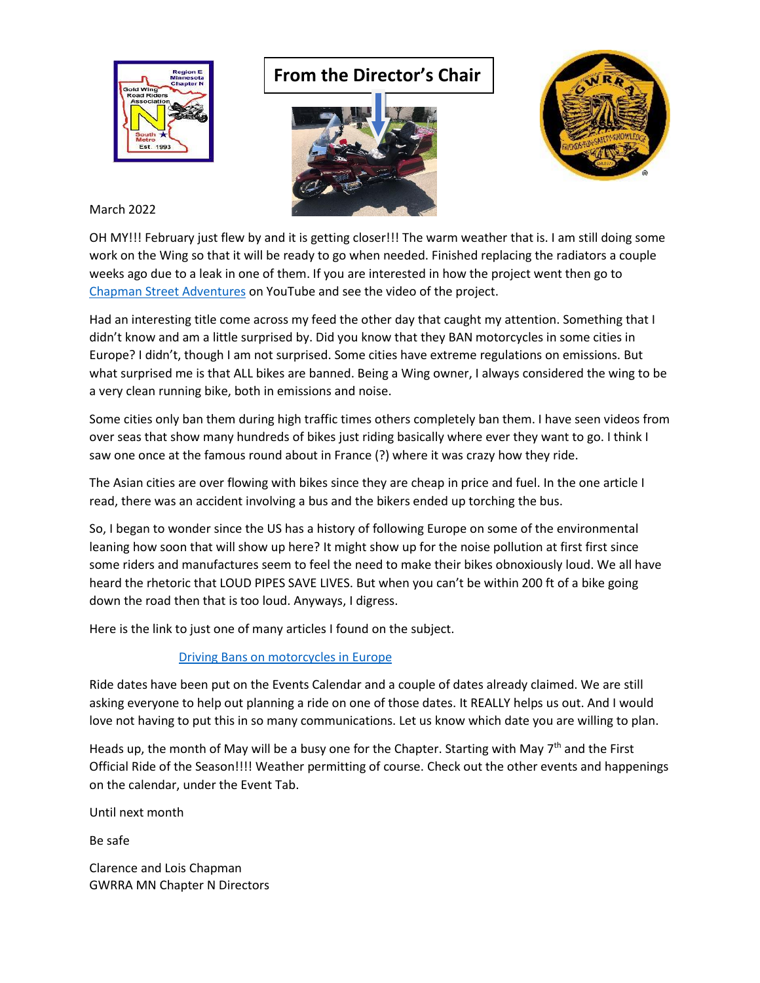

## **From the Director's Chair**





March 2022

OH MY!!! February just flew by and it is getting closer!!! The warm weather that is. I am still doing some work on the Wing so that it will be ready to go when needed. Finished replacing the radiators a couple weeks ago due to a leak in one of them. If you are interested in how the project went then go to [Chapman Street Adventures](https://www.youtube.com/watch?v=mhwD3D7Nqgw) on YouTube and see the video of the project.

Had an interesting title come across my feed the other day that caught my attention. Something that I didn't know and am a little surprised by. Did you know that they BAN motorcycles in some cities in Europe? I didn't, though I am not surprised. Some cities have extreme regulations on emissions. But what surprised me is that ALL bikes are banned. Being a Wing owner, I always considered the wing to be a very clean running bike, both in emissions and noise.

Some cities only ban them during high traffic times others completely ban them. I have seen videos from over seas that show many hundreds of bikes just riding basically where ever they want to go. I think I saw one once at the famous round about in France (?) where it was crazy how they ride.

The Asian cities are over flowing with bikes since they are cheap in price and fuel. In the one article I read, there was an accident involving a bus and the bikers ended up torching the bus.

So, I began to wonder since the US has a history of following Europe on some of the environmental leaning how soon that will show up here? It might show up for the noise pollution at first first since some riders and manufactures seem to feel the need to make their bikes obnoxiously loud. We all have heard the rhetoric that LOUD PIPES SAVE LIVES. But when you can't be within 200 ft of a bike going down the road then that is too loud. Anyways, I digress.

Here is the link to just one of many articles I found on the subject.

## [Driving Bans on motorcycles in Europe](https://www.rideapart.com/news/509587/european-cities-driving-motorcycle-bans/)

Ride dates have been put on the Events Calendar and a couple of dates already claimed. We are still asking everyone to help out planning a ride on one of those dates. It REALLY helps us out. And I would love not having to put this in so many communications. Let us know which date you are willing to plan.

Heads up, the month of May will be a busy one for the Chapter. Starting with May 7<sup>th</sup> and the First Official Ride of the Season!!!! Weather permitting of course. Check out the other events and happenings on the calendar, under the Event Tab.

Until next month

Be safe

Clarence and Lois Chapman GWRRA MN Chapter N Directors